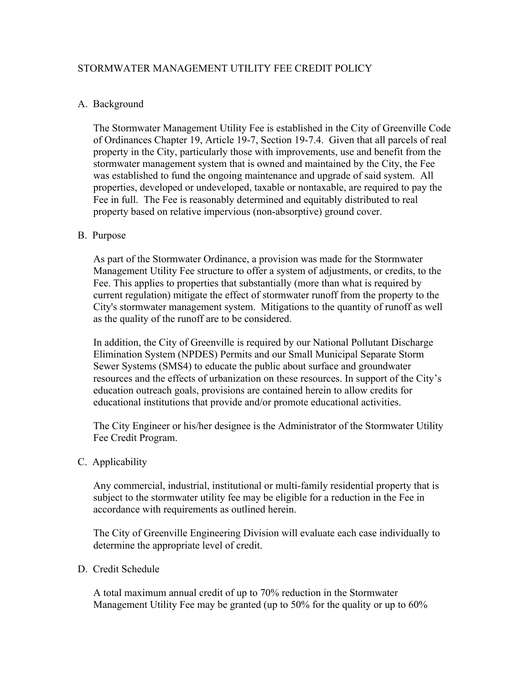# STORMWATER MANAGEMENT UTILITY FEE CREDIT POLICY

## A. Background

The Stormwater Management Utility Fee is established in the City of Greenville Code of Ordinances Chapter 19, Article 19-7, Section 19-7.4. Given that all parcels of real property in the City, particularly those with improvements, use and benefit from the stormwater management system that is owned and maintained by the City, the Fee was established to fund the ongoing maintenance and upgrade of said system. All properties, developed or undeveloped, taxable or nontaxable, are required to pay the Fee in full. The Fee is reasonably determined and equitably distributed to real property based on relative impervious (non-absorptive) ground cover.

## B. Purpose

As part of the Stormwater Ordinance, a provision was made for the Stormwater Management Utility Fee structure to offer a system of adjustments, or credits, to the Fee. This applies to properties that substantially (more than what is required by current regulation) mitigate the effect of stormwater runoff from the property to the City's stormwater management system. Mitigations to the quantity of runoff as well as the quality of the runoff are to be considered.

In addition, the City of Greenville is required by our National Pollutant Discharge Elimination System (NPDES) Permits and our Small Municipal Separate Storm Sewer Systems (SMS4) to educate the public about surface and groundwater resources and the effects of urbanization on these resources. In support of the City's education outreach goals, provisions are contained herein to allow credits for educational institutions that provide and/or promote educational activities.

The City Engineer or his/her designee is the Administrator of the Stormwater Utility Fee Credit Program.

C. Applicability

Any commercial, industrial, institutional or multi-family residential property that is subject to the stormwater utility fee may be eligible for a reduction in the Fee in accordance with requirements as outlined herein.

The City of Greenville Engineering Division will evaluate each case individually to determine the appropriate level of credit.

#### D. Credit Schedule

A total maximum annual credit of up to 70% reduction in the Stormwater Management Utility Fee may be granted (up to 50% for the quality or up to 60%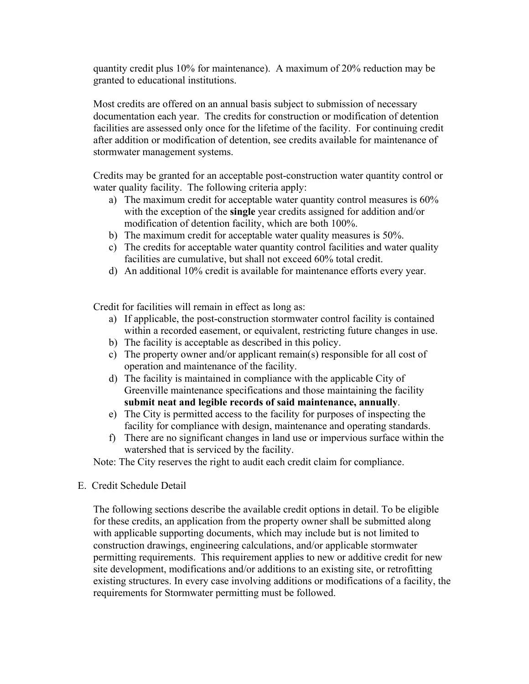quantity credit plus 10% for maintenance). A maximum of 20% reduction may be granted to educational institutions.

Most credits are offered on an annual basis subject to submission of necessary documentation each year. The credits for construction or modification of detention facilities are assessed only once for the lifetime of the facility. For continuing credit after addition or modification of detention, see credits available for maintenance of stormwater management systems.

Credits may be granted for an acceptable post-construction water quantity control or water quality facility. The following criteria apply:

- a) The maximum credit for acceptable water quantity control measures is 60% with the exception of the **single** year credits assigned for addition and/or modification of detention facility, which are both 100%.
- b) The maximum credit for acceptable water quality measures is 50%.
- c) The credits for acceptable water quantity control facilities and water quality facilities are cumulative, but shall not exceed 60% total credit.
- d) An additional 10% credit is available for maintenance efforts every year.

Credit for facilities will remain in effect as long as:

- a) If applicable, the post-construction stormwater control facility is contained within a recorded easement, or equivalent, restricting future changes in use.
- b) The facility is acceptable as described in this policy.
- c) The property owner and/or applicant remain(s) responsible for all cost of operation and maintenance of the facility.
- d) The facility is maintained in compliance with the applicable City of Greenville maintenance specifications and those maintaining the facility **submit neat and legible records of said maintenance, annually**.
- e) The City is permitted access to the facility for purposes of inspecting the facility for compliance with design, maintenance and operating standards.
- f) There are no significant changes in land use or impervious surface within the watershed that is serviced by the facility.

Note: The City reserves the right to audit each credit claim for compliance.

E. Credit Schedule Detail

The following sections describe the available credit options in detail. To be eligible for these credits, an application from the property owner shall be submitted along with applicable supporting documents, which may include but is not limited to construction drawings, engineering calculations, and/or applicable stormwater permitting requirements. This requirement applies to new or additive credit for new site development, modifications and/or additions to an existing site, or retrofitting existing structures. In every case involving additions or modifications of a facility, the requirements for Stormwater permitting must be followed.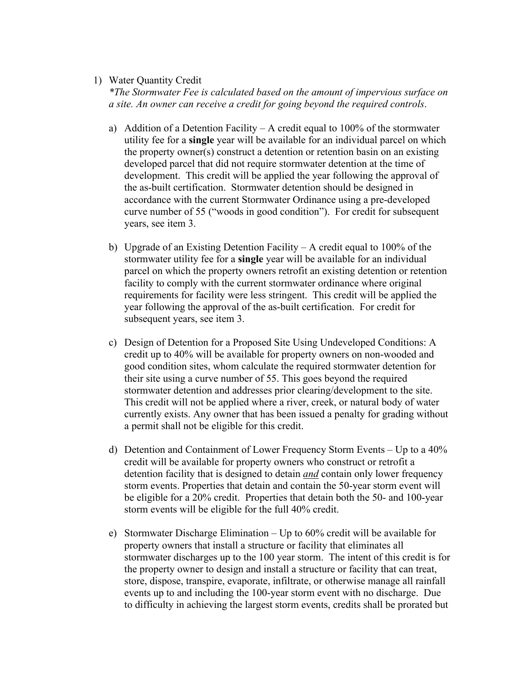### 1) Water Quantity Credit

*\*The Stormwater Fee is calculated based on the amount of impervious surface on a site. An owner can receive a credit for going beyond the required controls*.

- a) Addition of a Detention Facility A credit equal to  $100\%$  of the stormwater utility fee for a **single** year will be available for an individual parcel on which the property owner(s) construct a detention or retention basin on an existing developed parcel that did not require stormwater detention at the time of development. This credit will be applied the year following the approval of the as-built certification. Stormwater detention should be designed in accordance with the current Stormwater Ordinance using a pre-developed curve number of 55 ("woods in good condition"). For credit for subsequent years, see item 3.
- b) Upgrade of an Existing Detention Facility A credit equal to 100% of the stormwater utility fee for a **single** year will be available for an individual parcel on which the property owners retrofit an existing detention or retention facility to comply with the current stormwater ordinance where original requirements for facility were less stringent. This credit will be applied the year following the approval of the as-built certification. For credit for subsequent years, see item 3.
- c) Design of Detention for a Proposed Site Using Undeveloped Conditions: A credit up to 40% will be available for property owners on non-wooded and good condition sites, whom calculate the required stormwater detention for their site using a curve number of 55. This goes beyond the required stormwater detention and addresses prior clearing/development to the site. This credit will not be applied where a river, creek, or natural body of water currently exists. Any owner that has been issued a penalty for grading without a permit shall not be eligible for this credit.
- d) Detention and Containment of Lower Frequency Storm Events Up to a 40% credit will be available for property owners who construct or retrofit a detention facility that is designed to detain *and* contain only lower frequency storm events. Properties that detain and contain the 50-year storm event will be eligible for a 20% credit. Properties that detain both the 50- and 100-year storm events will be eligible for the full 40% credit.
- e) Stormwater Discharge Elimination Up to 60% credit will be available for property owners that install a structure or facility that eliminates all stormwater discharges up to the 100 year storm. The intent of this credit is for the property owner to design and install a structure or facility that can treat, store, dispose, transpire, evaporate, infiltrate, or otherwise manage all rainfall events up to and including the 100-year storm event with no discharge. Due to difficulty in achieving the largest storm events, credits shall be prorated but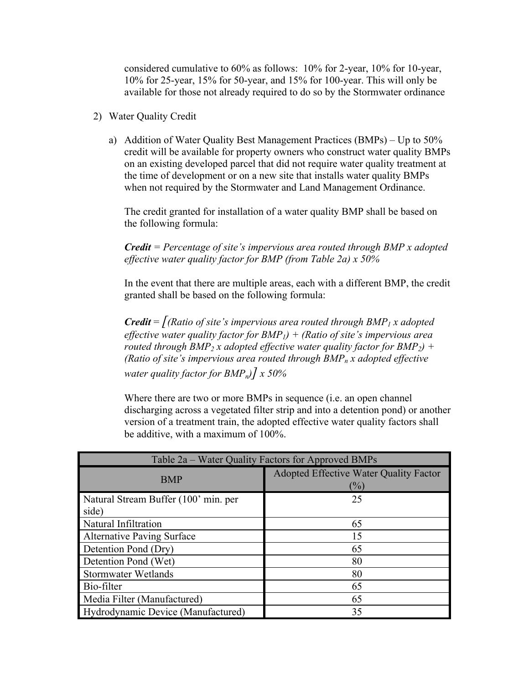considered cumulative to 60% as follows: 10% for 2-year, 10% for 10-year, 10% for 25-year, 15% for 50-year, and 15% for 100-year. This will only be available for those not already required to do so by the Stormwater ordinance

- 2) Water Quality Credit
	- a) Addition of Water Quality Best Management Practices (BMPs) Up to 50% credit will be available for property owners who construct water quality BMPs on an existing developed parcel that did not require water quality treatment at the time of development or on a new site that installs water quality BMPs when not required by the Stormwater and Land Management Ordinance.

The credit granted for installation of a water quality BMP shall be based on the following formula:

# *Credit = Percentage of site's impervious area routed through BMP x adopted effective water quality factor for BMP (from Table 2a) x 50%*

In the event that there are multiple areas, each with a different BMP, the credit granted shall be based on the following formula:

*Credit* =  $\int (Ratio of site's impervious area routed through BMP<sub>1</sub> x adopted)$ *effective water quality factor for BMP1) + (Ratio of site's impervious area routed through BMP<sub>2</sub> x adopted effective water quality factor for BMP<sub>2</sub>) + (Ratio of site's impervious area routed through*  $BMP_n x$  *adopted effective water quality factor for BMPn)] x 50%* 

Where there are two or more BMPs in sequence (i.e. an open channel discharging across a vegetated filter strip and into a detention pond) or another version of a treatment train, the adopted effective water quality factors shall be additive, with a maximum of 100%.

| Table 2a – Water Quality Factors for Approved BMPs |                                                         |
|----------------------------------------------------|---------------------------------------------------------|
| <b>BMP</b>                                         | <b>Adopted Effective Water Quality Factor</b><br>$(\%)$ |
| Natural Stream Buffer (100' min. per<br>side)      | 25                                                      |
| Natural Infiltration                               | 65                                                      |
| <b>Alternative Paving Surface</b>                  | 15                                                      |
| Detention Pond (Dry)                               | 65                                                      |
| Detention Pond (Wet)                               | 80                                                      |
| <b>Stormwater Wetlands</b>                         | 80                                                      |
| Bio-filter                                         | 65                                                      |
| Media Filter (Manufactured)                        | 65                                                      |
| Hydrodynamic Device (Manufactured)                 | 35                                                      |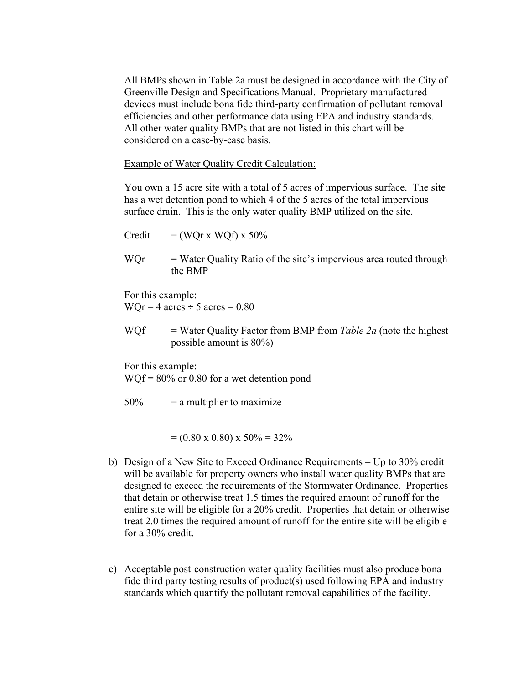All BMPs shown in Table 2a must be designed in accordance with the City of Greenville Design and Specifications Manual. Proprietary manufactured devices must include bona fide third-party confirmation of pollutant removal efficiencies and other performance data using EPA and industry standards. All other water quality BMPs that are not listed in this chart will be considered on a case-by-case basis.

Example of Water Quality Credit Calculation:

You own a 15 acre site with a total of 5 acres of impervious surface. The site has a wet detention pond to which 4 of the 5 acres of the total impervious surface drain. This is the only water quality BMP utilized on the site.

Credit  $= (WQr x WQf) x 50%$ 

 $WOr = Water Quality Ratio of the site's impervious area routed through$ the BMP

For this example:  $WQr = 4$  acres  $\div$  5 acres  $= 0.80$ 

WQf = Water Quality Factor from BMP from *Table 2a* (note the highest possible amount is 80%)

For this example:

WQf = 80% or 0.80 for a wet detention pond

 $50\%$  = a multiplier to maximize

 $= (0.80 \times 0.80) \times 50\% = 32\%$ 

- b) Design of a New Site to Exceed Ordinance Requirements Up to 30% credit will be available for property owners who install water quality BMPs that are designed to exceed the requirements of the Stormwater Ordinance. Properties that detain or otherwise treat 1.5 times the required amount of runoff for the entire site will be eligible for a 20% credit. Properties that detain or otherwise treat 2.0 times the required amount of runoff for the entire site will be eligible for a 30% credit.
- c) Acceptable post-construction water quality facilities must also produce bona fide third party testing results of product(s) used following EPA and industry standards which quantify the pollutant removal capabilities of the facility.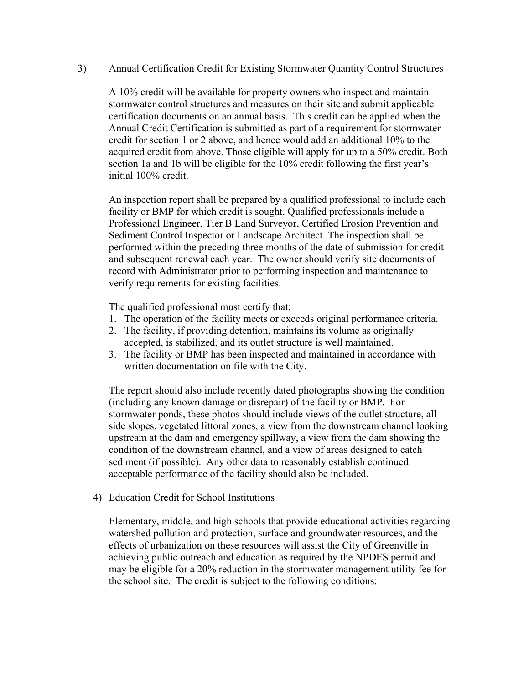## 3) Annual Certification Credit for Existing Stormwater Quantity Control Structures

A 10% credit will be available for property owners who inspect and maintain stormwater control structures and measures on their site and submit applicable certification documents on an annual basis. This credit can be applied when the Annual Credit Certification is submitted as part of a requirement for stormwater credit for section 1 or 2 above, and hence would add an additional 10% to the acquired credit from above. Those eligible will apply for up to a 50% credit. Both section 1a and 1b will be eligible for the 10% credit following the first year's initial 100% credit.

An inspection report shall be prepared by a qualified professional to include each facility or BMP for which credit is sought. Qualified professionals include a Professional Engineer, Tier B Land Surveyor, Certified Erosion Prevention and Sediment Control Inspector or Landscape Architect. The inspection shall be performed within the preceding three months of the date of submission for credit and subsequent renewal each year. The owner should verify site documents of record with Administrator prior to performing inspection and maintenance to verify requirements for existing facilities.

The qualified professional must certify that:

- 1. The operation of the facility meets or exceeds original performance criteria.
- 2. The facility, if providing detention, maintains its volume as originally accepted, is stabilized, and its outlet structure is well maintained.
- 3. The facility or BMP has been inspected and maintained in accordance with written documentation on file with the City.

The report should also include recently dated photographs showing the condition (including any known damage or disrepair) of the facility or BMP. For stormwater ponds, these photos should include views of the outlet structure, all side slopes, vegetated littoral zones, a view from the downstream channel looking upstream at the dam and emergency spillway, a view from the dam showing the condition of the downstream channel, and a view of areas designed to catch sediment (if possible). Any other data to reasonably establish continued acceptable performance of the facility should also be included.

4) Education Credit for School Institutions

Elementary, middle, and high schools that provide educational activities regarding watershed pollution and protection, surface and groundwater resources, and the effects of urbanization on these resources will assist the City of Greenville in achieving public outreach and education as required by the NPDES permit and may be eligible for a 20% reduction in the stormwater management utility fee for the school site. The credit is subject to the following conditions: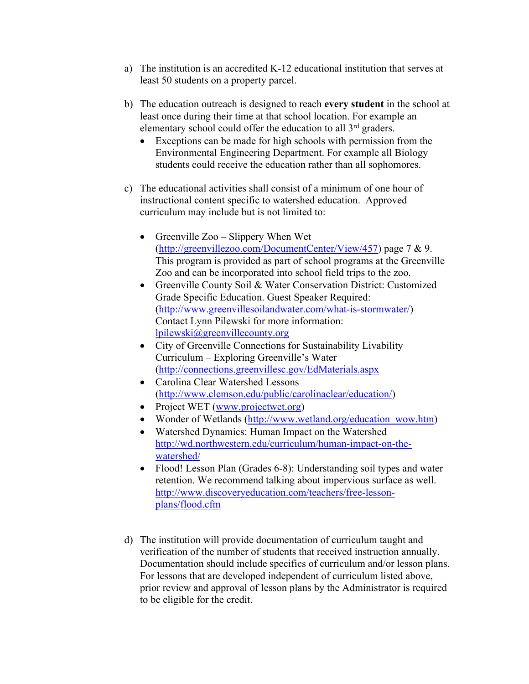- a) The institution is an accredited K-12 educational institution that serves at least 50 students on a property parcel.
- b) The education outreach is designed to reach **every student** in the school at least once during their time at that school location. For example an elementary school could offer the education to all 3<sup>rd</sup> graders.
	- Exceptions can be made for high schools with permission from the Environmental Engineering Department. For example all Biology students could receive the education rather than all sophomores.
- c) The educational activities shall consist of a minimum of one hour of instructional content specific to watershed education. Approved curriculum may include but is not limited to:
	- Greenville  $Zoo Slipperv$  When Wet ([http://greenvillezoo.com/DocumentCenter/View/457\)](http://greenvillezoo.com/DocumentCenter/View/457) page 7 & 9. This program is provided as part of school programs at the Greenville Zoo and can be incorporated into school field trips to the zoo.
	- Greenville County Soil & Water Conservation District: Customized Grade Specific Education. Guest Speaker Required: ([http://www.greenvillesoilandwater.com/what-is-stormwater/\)](http://www.greenvillesoilandwater.com/what-is-stormwater/) Contact Lynn Pilewski for more information: [lpilewski@greenvillecounty.org](mailto:lpilewski@greenvillecounty.org)
	- City of Greenville Connections for Sustainability Livability Curriculum – Exploring Greenville's Water (<http://connections.greenvillesc.gov/EdMaterials.aspx>
	- Carolina Clear Watershed Lessons ([http://www.clemson.edu/public/carolinaclear/education/\)](http://www.clemson.edu/public/carolinaclear/education/)
	- Project WET ([www.projectwet.org\)](http://www.projectwet.org/)
	- Wonder of Wetlands ([http://www.wetland.org/education\\_wow.htm\)](http://www.wetland.org/education_wow.htm)
	- Watershed Dynamics: Human Impact on the Watershed [http://wd.northwestern.edu/curriculum/human-impact-on-the](http://wd.northwestern.edu/curriculum/human-impact-on-the-watershed/)[watershed/](http://wd.northwestern.edu/curriculum/human-impact-on-the-watershed/)
	- Flood! Lesson Plan (Grades 6-8): Understanding soil types and water retention. We recommend talking about impervious surface as well. [http://www.discoveryeducation.com/teachers/free-lesson](http://www.discoveryeducation.com/teachers/free-lesson-plans/flood.cfm)[plans/flood.cfm](http://www.discoveryeducation.com/teachers/free-lesson-plans/flood.cfm)
- d) The institution will provide documentation of curriculum taught and verification of the number of students that received instruction annually. Documentation should include specifics of curriculum and/or lesson plans. For lessons that are developed independent of curriculum listed above, prior review and approval of lesson plans by the Administrator is required to be eligible for the credit.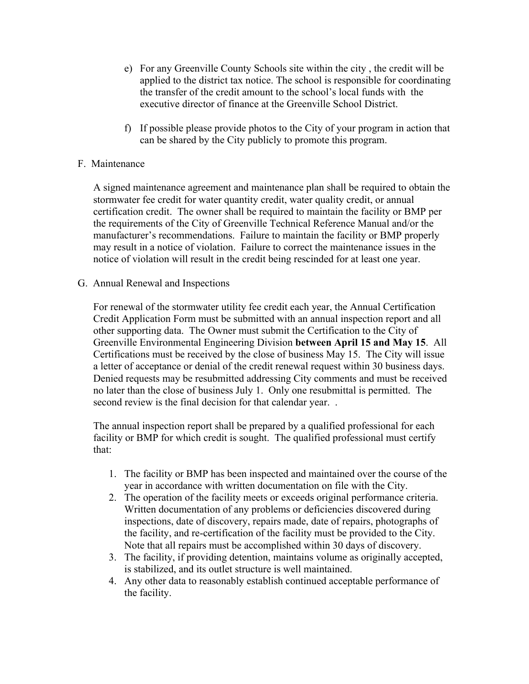- e) For any Greenville County Schools site within the city , the credit will be applied to the district tax notice. The school is responsible for coordinating the transfer of the credit amount to the school's local funds with the executive director of finance at the Greenville School District.
- f) If possible please provide photos to the City of your program in action that can be shared by the City publicly to promote this program.

# F. Maintenance

A signed maintenance agreement and maintenance plan shall be required to obtain the stormwater fee credit for water quantity credit, water quality credit, or annual certification credit. The owner shall be required to maintain the facility or BMP per the requirements of the City of Greenville Technical Reference Manual and/or the manufacturer's recommendations. Failure to maintain the facility or BMP properly may result in a notice of violation. Failure to correct the maintenance issues in the notice of violation will result in the credit being rescinded for at least one year.

G. Annual Renewal and Inspections

For renewal of the stormwater utility fee credit each year, the Annual Certification Credit Application Form must be submitted with an annual inspection report and all other supporting data. The Owner must submit the Certification to the City of Greenville Environmental Engineering Division **between April 15 and May 15**. All Certifications must be received by the close of business May 15. The City will issue a letter of acceptance or denial of the credit renewal request within 30 business days. Denied requests may be resubmitted addressing City comments and must be received no later than the close of business July 1. Only one resubmittal is permitted. The second review is the final decision for that calendar year...

The annual inspection report shall be prepared by a qualified professional for each facility or BMP for which credit is sought. The qualified professional must certify that:

- 1. The facility or BMP has been inspected and maintained over the course of the year in accordance with written documentation on file with the City.
- 2. The operation of the facility meets or exceeds original performance criteria. Written documentation of any problems or deficiencies discovered during inspections, date of discovery, repairs made, date of repairs, photographs of the facility, and re-certification of the facility must be provided to the City. Note that all repairs must be accomplished within 30 days of discovery.
- 3. The facility, if providing detention, maintains volume as originally accepted, is stabilized, and its outlet structure is well maintained.
- 4. Any other data to reasonably establish continued acceptable performance of the facility.